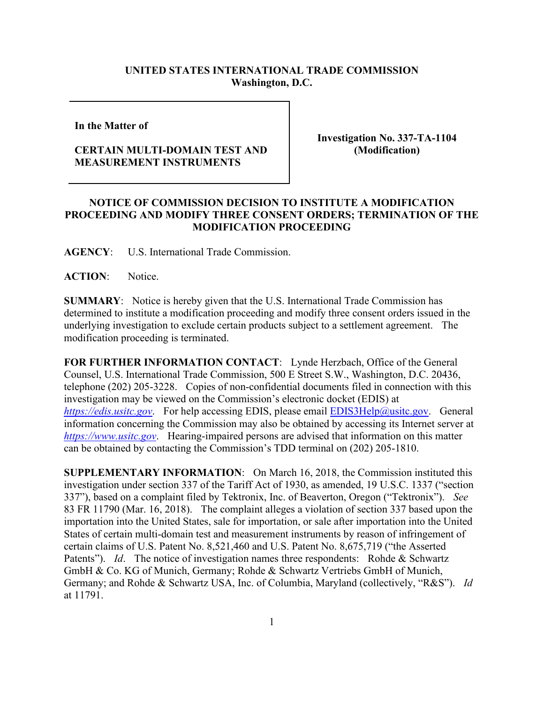## **UNITED STATES INTERNATIONAL TRADE COMMISSION Washington, D.C.**

**In the Matter of** 

## **CERTAIN MULTI-DOMAIN TEST AND MEASUREMENT INSTRUMENTS**

**Investigation No. 337-TA-1104 (Modification)**

## **NOTICE OF COMMISSION DECISION TO INSTITUTE A MODIFICATION PROCEEDING AND MODIFY THREE CONSENT ORDERS; TERMINATION OF THE MODIFICATION PROCEEDING**

**AGENCY**: U.S. International Trade Commission.

**ACTION**: Notice.

**SUMMARY**: Notice is hereby given that the U.S. International Trade Commission has determined to institute a modification proceeding and modify three consent orders issued in the underlying investigation to exclude certain products subject to a settlement agreement. The modification proceeding is terminated.

**FOR FURTHER INFORMATION CONTACT**: Lynde Herzbach, Office of the General Counsel, U.S. International Trade Commission, 500 E Street S.W., Washington, D.C. 20436, telephone (202) 205-3228. Copies of non-confidential documents filed in connection with this investigation may be viewed on the Commission's electronic docket (EDIS) at *[https://edis.usitc.gov](https://edis.usitc.gov/).* For help accessing EDIS, please email [EDIS3Help@usitc.gov.](mailto:EDIS3Help@usitc.gov) General information concerning the Commission may also be obtained by accessing its Internet server at *[https://www.usitc.gov](https://www.usitc.gov/)*. Hearing-impaired persons are advised that information on this matter can be obtained by contacting the Commission's TDD terminal on (202) 205-1810.

**SUPPLEMENTARY INFORMATION**: On March 16, 2018, the Commission instituted this investigation under section 337 of the Tariff Act of 1930, as amended, 19 U.S.C. 1337 ("section 337"), based on a complaint filed by Tektronix, Inc. of Beaverton, Oregon ("Tektronix"). *See* 83 FR 11790 (Mar. 16, 2018). The complaint alleges a violation of section 337 based upon the importation into the United States, sale for importation, or sale after importation into the United States of certain multi-domain test and measurement instruments by reason of infringement of certain claims of U.S. Patent No. 8,521,460 and U.S. Patent No. 8,675,719 ("the Asserted Patents"). *Id.* The notice of investigation names three respondents: Rohde & Schwartz GmbH & Co. KG of Munich, Germany; Rohde & Schwartz Vertriebs GmbH of Munich, Germany; and Rohde & Schwartz USA, Inc. of Columbia, Maryland (collectively, "R&S"). *Id* at 11791.